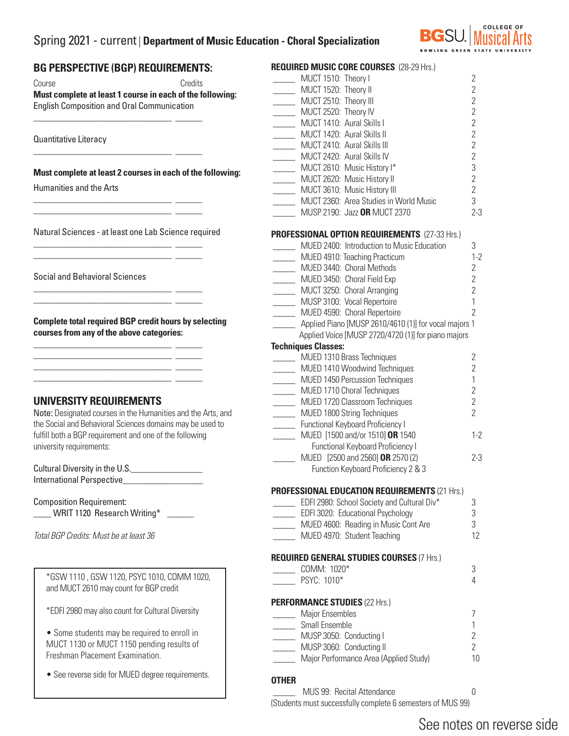## Spring 2021 - current | **Department of Music Education - Choral Specialization**



## **BG PERSPECTIVE (BGP) REQUIREMENTS:**  Course Credits **Must complete at least 1 course in each of the following:**  English Composition and Oral Communication  $\overline{\phantom{a}}$  , and the set of the set of the set of the set of the set of the set of the set of the set of the set of the set of the set of the set of the set of the set of the set of the set of the set of the set of the s Quantitative Literacy  $\overline{\phantom{a}}$  ,  $\overline{\phantom{a}}$  ,  $\overline{\phantom{a}}$  ,  $\overline{\phantom{a}}$  ,  $\overline{\phantom{a}}$  ,  $\overline{\phantom{a}}$  ,  $\overline{\phantom{a}}$  ,  $\overline{\phantom{a}}$  ,  $\overline{\phantom{a}}$  ,  $\overline{\phantom{a}}$  ,  $\overline{\phantom{a}}$  ,  $\overline{\phantom{a}}$  ,  $\overline{\phantom{a}}$  ,  $\overline{\phantom{a}}$  ,  $\overline{\phantom{a}}$  ,  $\overline{\phantom{a}}$ **Must complete at least 2 courses in each of the following:** Humanities and the Arts \_\_\_\_\_\_\_\_\_\_\_\_\_\_\_\_\_\_\_\_\_\_\_\_\_\_\_\_\_\_\_ \_\_\_\_\_\_ \_\_\_\_\_\_\_\_\_\_\_\_\_\_\_\_\_\_\_\_\_\_\_\_\_\_\_\_\_\_\_ \_\_\_\_\_\_ Natural Sciences - at least one Lab Science required \_\_\_\_\_\_\_\_\_\_\_\_\_\_\_\_\_\_\_\_\_\_\_\_\_\_\_\_\_\_\_ \_\_\_\_\_\_  $\frac{1}{\sqrt{2}}$  ,  $\frac{1}{\sqrt{2}}$  ,  $\frac{1}{\sqrt{2}}$  ,  $\frac{1}{\sqrt{2}}$  ,  $\frac{1}{\sqrt{2}}$  ,  $\frac{1}{\sqrt{2}}$  ,  $\frac{1}{\sqrt{2}}$  ,  $\frac{1}{\sqrt{2}}$  ,  $\frac{1}{\sqrt{2}}$  ,  $\frac{1}{\sqrt{2}}$  ,  $\frac{1}{\sqrt{2}}$  ,  $\frac{1}{\sqrt{2}}$  ,  $\frac{1}{\sqrt{2}}$  ,  $\frac{1}{\sqrt{2}}$  ,  $\frac{1}{\sqrt{2}}$ Social and Behavioral Sciences \_\_\_\_\_\_\_\_\_\_\_\_\_\_\_\_\_\_\_\_\_\_\_\_\_\_\_\_\_\_\_ \_\_\_\_\_\_ \_\_\_\_\_\_\_\_\_\_\_\_\_\_\_\_\_\_\_\_\_\_\_\_\_\_\_\_\_\_\_ \_\_\_\_\_\_ **Complete total required BGP credit hours by selecting courses from any of the above categories:** \_\_\_\_\_\_\_\_\_\_\_\_\_\_\_\_\_\_\_\_\_\_\_\_\_\_\_\_\_\_\_ \_\_\_\_\_\_ \_\_\_\_\_\_\_\_\_\_\_\_\_\_\_\_\_\_\_\_\_\_\_\_\_\_\_\_\_\_\_ \_\_\_\_\_\_  $\frac{1}{\sqrt{2}}$  ,  $\frac{1}{\sqrt{2}}$  ,  $\frac{1}{\sqrt{2}}$  ,  $\frac{1}{\sqrt{2}}$  ,  $\frac{1}{\sqrt{2}}$  ,  $\frac{1}{\sqrt{2}}$  ,  $\frac{1}{\sqrt{2}}$  ,  $\frac{1}{\sqrt{2}}$  ,  $\frac{1}{\sqrt{2}}$  ,  $\frac{1}{\sqrt{2}}$  ,  $\frac{1}{\sqrt{2}}$  ,  $\frac{1}{\sqrt{2}}$  ,  $\frac{1}{\sqrt{2}}$  ,  $\frac{1}{\sqrt{2}}$  ,  $\frac{1}{\sqrt{2}}$ \_\_\_\_\_\_\_\_\_\_\_\_\_\_\_\_\_\_\_\_\_\_\_\_\_\_\_\_\_\_\_ \_\_\_\_\_\_ **UNIVERSITY REQUIREMENTS**  Note: Designated courses in the Humanities and the Arts, and the Social and Behavioral Sciences domains may be used to fulfill both a BGP requirement and one of the following university requirements: Cultural Diversity in the U.S.\_\_\_\_\_\_\_\_\_\_\_\_\_\_\_\_ International Perspective\_\_\_\_\_\_\_\_\_\_\_\_\_\_\_\_\_\_ Composition Requirement: \_\_\_\_ WRIT 1120 Research Writing\* \_\_\_\_\_\_ *Total BGP Credits: Must be at least 36* **REQUIRED MUSIC CORE COURSES** (28-29 Hrs.) \_\_\_\_\_ MUCT 1510: Theory I 2 MUCT 1420: Aural Skills II MUCT 2620: Music History II **Techniques Classes: PERFORMANCE STUDIES** (22 Hrs.) \_\_\_\_\_ MUSP 3060: Conducting II 2 \*GSW 1110 , GSW 1120, PSYC 1010, COMM 1020, and MUCT 2610 may count for BGP credit \*EDFI 2980 may also count for Cultural Diversity • Some students may be required to enroll in MUCT 1130 or MUCT 1150 pending results of Freshman Placement Examination. • See reverse side for MUED degree requirements.

 \_\_\_\_\_ MUCT 1520: Theory II 2 \_\_\_\_\_ MUCT 2510: Theory III 2 \_\_\_\_\_ MUCT 2520: Theory IV 2 \_\_\_\_\_ MUCT 1410: Aural Skills I<br>MUCT 1420: Aural Skills II 2 \_\_\_\_\_ MUCT 2410: Aural Skills III 2 \_\_\_\_\_ MUCT 2420: Aural Skills IV 2 \_\_\_\_\_\_\_ MUCT 2610: Music History I\* 3<br>MUCT 2620: Music History II 3 \_\_\_\_\_ MUCT 3610: Music History III 2 \_\_\_\_\_ MUCT 2360: Area Studies in World Music 3 \_\_\_\_\_ MUSP 2190: Jazz **OR** MUCT 2370 2-3 **PROFESSIONAL OPTION REQUIREMENTS** (27-33 Hrs.) \_\_\_\_\_ MUED 2400: Introduction to Music Education 3 \_\_\_\_\_ MUED 4910: Teaching Practicum 1-2 \_\_\_\_\_ MUED 3440: Choral Methods 2 \_\_\_\_\_ MUED 3450: Choral Field Exp 2 \_\_\_\_\_ MUCT 3250: Choral Arranging 2 \_\_\_\_\_ MUSP 3100: Vocal Repertoire 1 \_\_\_\_\_ MUED 4590: Choral Repertoire 2 \_\_\_\_\_ Applied Piano [MUSP 2610/4610 (1)] for vocal majors 1 Applied Voice [MUSP 2720/4720 (1)] for piano majors \_\_\_\_\_ MUED 1310 Brass Techniques 2 \_\_\_\_\_ MUED 1410 Woodwind Techniques 2 \_\_\_\_\_ MUED 1450 Percussion Techniques 1 \_\_\_\_\_ MUED 1710 Choral Techniques 2 \_\_\_\_\_ MUED 1720 Classroom Techniques 2 \_\_\_\_\_ MUED 1800 String Techniques 2 \_\_\_\_\_ Functional Keyboard Proficiency I \_\_\_\_\_ MUED [1500 and/or 1510] **OR** 1540 1-2 Functional Keyboard Proficiency I \_\_\_\_\_ MUED [2500 and 2560] **OR** 2570 (2) 2-3 Function Keyboard Proficiency 2 & 3 **PROFESSIONAL EDUCATION REQUIREMENTS** (21 Hrs.) EDFI 2980: School Society and Cultural Div\* 3 \_\_\_\_\_ EDFI 3020: Educational Psychology 3 \_\_\_\_\_ MUED 4600: Reading in Music Cont Are 3 \_\_\_\_\_ MUED 4970: Student Teaching 12 **REQUIRED GENERAL STUDIES COURSES** (7 Hrs.) \_\_\_\_\_ COMM: 1020\* 3 PSYC: 1010\* 4 \_\_\_\_\_ Major Ensembles 7 \_\_\_\_\_ Small Ensemble 1 \_\_\_\_\_ MUSP 3050: Conducting I 2

**Major Performance Area (Applied Study)** 10

### **OTHER**

 \_\_\_\_\_ MUS 99: Recital Attendance 0 (Students must successfully complete 6 semesters of MUS 99)

# See notes on reverse side